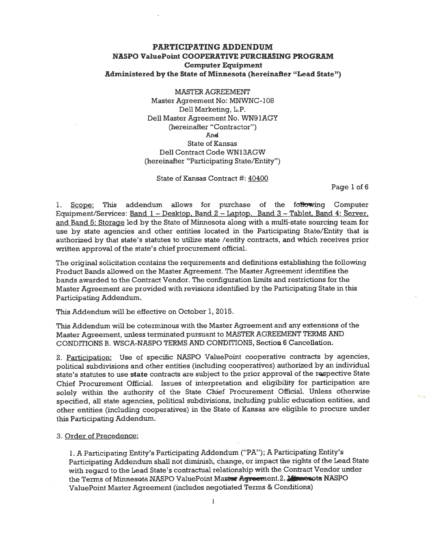**MASTER AGREEMENT** Master Agreement No: MNWNC-108 Dell Marketing, L.P. Dell Master Agreement No. WN91AGY (hereinafter "Contractor") And **State of Kansas** Dell Contract Code WN13AGW (hereinafter "Participating State/Entity")

State of Kansas Contract #: 40400

Page 1 of 6

1. Scope: This addendum allows for purchase of the following Computer Equipment/Services: Band 1 - Desktop, Band 2 - Laptop, Band 3 - Tablet, Band 4: Server, and Band 5: Storage led by the State of Minnesota along with a multi-state sourcing team for use by state agencies and other entities located in the Participating State/Entity that is authorized by that state's statutes to utilize state /entity contracts, and which receives prior written approval of the state's chief procurement official.

The original solicitation contains the requirements and definitions establishing the following Product Bands allowed on the Master Agreement. The Master Agreement identifies the bands awarded to the Contract Vendor. The configuration limits and restrictions for the Master Agreement are provided with revisions identified by the Participating State in this Participating Addendum.

This Addendum will be effective on October 1, 2015.

This Addendum will be coterminous with the Master Agreement and any extensions of the Master Agreement, unless terminated pursuant to MASTER AGREEMENT TERMS AND CONDITIONS B. WSCA-NASPO TERMS AND CONDITIONS, Section 6 Cancellation.

2. Participation: Use of specific NASPO ValuePoint cooperative contracts by agencies, political subdivisions and other entities (including cooperatives) authorized by an individual state's statutes to use state contracts are subject to the prior approval of the respective State Chief Procurement Official. Issues of interpretation and eligibility for participation are solely within the authority of the State Chief Procurement Official. Unless otherwise specified, all state agencies, political subdivisions, including public education entities, and other entities (including cooperatives) in the State of Kansas are eligible to procure under this Participating Addendum.

3. Order of Precedence:

1. A Participating Entity's Participating Addendum ("PA"); A Participating Entity's Participating Addendum shall not diminish, change, or impact the rights of the Lead State with regard to the Lead State's contractual relationship with the Contract Vendor under the Terms of Minnesota NASPO ValuePoint Master Agreement.2. Minnesota NASPO ValuePoint Master Agreement (includes negotiated Terms & Conditions)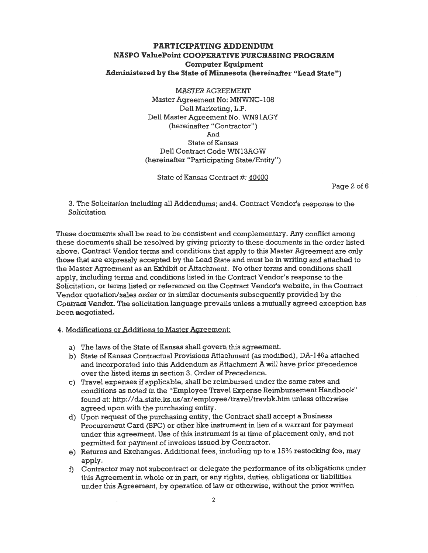**MASTER AGREEMENT** Master Agreement No: MNWNC-108 Dell Marketing, L.P. Dell Master Agreement No. WN91AGY (hereinafter "Contractor") And **State of Kansas** Dell Contract Code WN13AGW (hereinafter "Participating State/Entity")

State of Kansas Contract #: 40400

Page 2 of 6

3. The Solicitation including all Addendums; and 4. Contract Vendor's response to the Solicitation

These documents shall be read to be consistent and complementary. Any conflict among these documents shall be resolved by giving priority to these documents in the order listed above. Contract Vendor terms and conditions that apply to this Master Agreement are only those that are expressly accepted by the Lead State and must be in writing and attached to the Master Agreement as an Exhibit or Attachment. No other terms and conditions shall apply, including terms and conditions listed in the Contract Vendor's response to the Solicitation, or terms listed or referenced on the Contract Vendor's website, in the Contract Vendor quotation/sales order or in similar documents subsequently provided by the Contract Vendor. The solicitation language prevails unless a mutually agreed exception has been negotiated.

#### 4. Modifications or Additions to Master Agreement:

- a) The laws of the State of Kansas shall govern this agreement.
- b) State of Kansas Contractual Provisions Attachment (as modified), DA-146a attached and incorporated into this Addendum as Attachment A will have prior precedence over the listed items in section 3. Order of Precedence.
- c) Travel expenses if applicable, shall be reimbursed under the same rates and conditions as noted in the "Employee Travel Expense Reimbursement Handbook" found at: http://da.state.ks.us/ar/employee/travel/travbk.htm unless otherwise agreed upon with the purchasing entity.
- d) Upon request of the purchasing entity, the Contract shall accept a Business Procurement Card (BPC) or other like instrument in lieu of a warrant for payment under this agreement. Use of this instrument is at time of placement only, and not permitted for payment of invoices issued by Contractor.
- e) Returns and Exchanges. Additional fees, including up to a 15% restocking fee, may apply.
- f) Contractor may not subcontract or delegate the performance of its obligations under this Agreement in whole or in part, or any rights, duties, obligations or liabilities under this Agreement, by operation of law or otherwise, without the prior written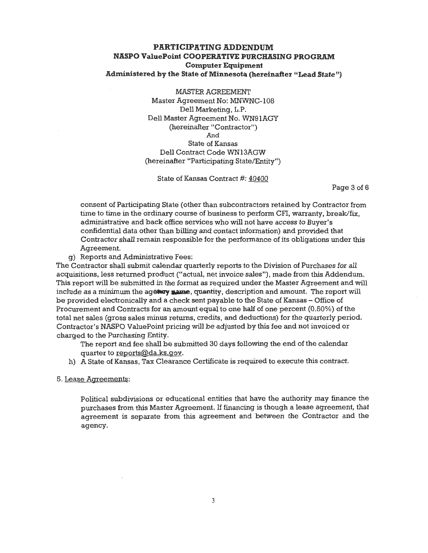**MASTER AGREEMENT** Master Agreement No: MNWNC-108 Dell Marketing, L.P. Dell Master Agreement No. WN91AGY (hereinafter "Contractor") And **State of Kansas** Dell Contract Code WN13AGW (hereinafter "Participating State/Entity")

State of Kansas Contract #: 40400

Page 3 of 6

consent of Participating State (other than subcontractors retained by Contractor from time to time in the ordinary course of business to perform CFI, warranty, break/fix, administrative and back office services who will not have access to Buyer's confidential data other than billing and contact information) and provided that Contractor shall remain responsible for the performance of its obligations under this Agreement.

g) Reports and Administrative Fees:

The Contractor shall submit calendar quarterly reports to the Division of Purchases for all acquisitions, less returned product ("actual, net invoice sales"), made from this Addendum. This report will be submitted in the format as required under the Master Agreement and will include as a minimum the agency name, quantity, description and amount. The report will be provided electronically and a check sent payable to the State of Kansas - Office of Procurement and Contracts for an amount equal to one half of one percent (0.50%) of the total net sales (gross sales minus returns, credits, and deductions) for the quarterly period. Contractor's NASPO ValuePoint pricing will be adjusted by this fee and not invoiced or charged to the Purchasing Entity.

The report and fee shall be submitted 30 days following the end of the calendar quarter to reports@da.ks.gov.

h) A State of Kansas, Tax Clearance Certificate is required to execute this contract.

5. Lease Agreements:

Political subdivisions or educational entities that have the authority may finance the purchases from this Master Agreement. If financing is though a lease agreement, that agreement is separate from this agreement and between the Contractor and the agency.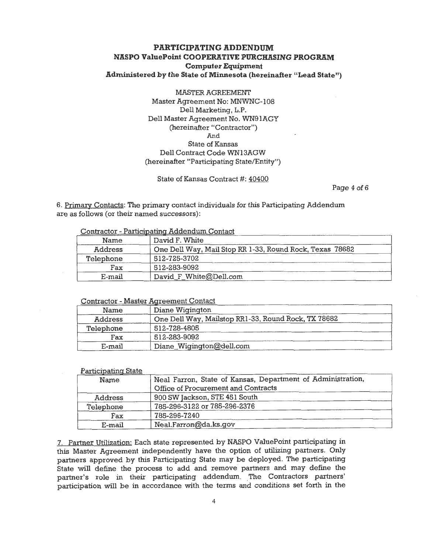**MASTER AGREEMENT** Master Agreement No: MNWNC-108 Dell Marketing, L.P. Dell Master Agreement No. WN91AGY (hereinafter "Contractor") And **State of Kansas** Dell Contract Code WN13AGW (hereinafter "Participating State/Entity")

State of Kansas Contract #: 40400

Page 4 of 6

6. Primary Contacts: The primary contact individuals for this Participating Addendum are as follows (or their named successors):

#### Contractor - Participating Addendum Contact

| Name           | David F. White                                           |
|----------------|----------------------------------------------------------|
| <b>Address</b> | One Dell Way, Mail Stop RR 1-33, Round Rock, Texas 78682 |
| Telephone      | 512-725-3702                                             |
| Fax            | 512-283-9092                                             |
| E-mail         | David_F_White@Dell.com                                   |

## **Contractor - Master Agreement Contact**

| Name           | Diane Wigington                                     |
|----------------|-----------------------------------------------------|
| <b>Address</b> | One Dell Way, Mailstop RR1-33, Round Rock, TX 78682 |
| Telephone      | 512-728-4805                                        |
| Fax            | 512-283-9092                                        |
| E-mail         | Diane_Wigington@dell.com                            |

#### Participating State Neal Farron, State of Kansas, Department of Administration, Name Office of Procurement and Contracts 900 SW Jackson, STE 451 South Address 785-296-3122 or 785-296-2376 Telephone 785-296-7240 Fax Neal.Farron@da.ks.gov E-mail

7. Partner Utilization: Each state represented by NASPO ValuePoint participating in this Master Agreement independently have the option of utilizing partners. Only partners approved by this Participating State may be deployed. The participating State will define the process to add and remove partners and may define the partner's role in their participating addendum. The Contractors partners' participation will be in accordance with the terms and conditions set forth in the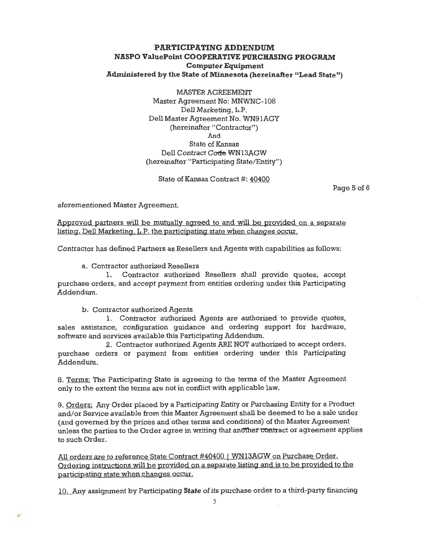MASTER AGREEMENT Master Agreement No: MNWNC-108 Dell Marketing, L.P. Dell Master Agreement No. WN91AGY (hereinafter "Contractor") And **State of Kansas** Dell Contract Code WN13AGW (hereinafter "Participating State/Entity")

State of Kansas Contract #: 40400

Page 5 of 6

aforementioned Master Agreement.

Approved partners will be mutually agreed to and will be provided on a separate listing. Dell Marketing, L.P. the participating state when changes occur.

Contractor has defined Partners as Resellers and Agents with capabilities as follows:

#### a. Contractor authorized Resellers

1. Contractor authorized Resellers shall provide quotes, accept purchase orders, and accept payment from entities ordering under this Participating Addendum.

b. Contractor authorized Agents

1. Contractor authorized Agents are authorized to provide quotes, sales assistance, configuration quidance and ordering support for hardware, software and services available this Participating Addendum.

2. Contractor authorized Agents ARE NOT authorized to accept orders, purchase orders or payment from entities ordering under this Participating Addendum.

8. Terms: The Participating State is agreeing to the terms of the Master Agreement only to the extent the terms are not in conflict with applicable law.

9. Orders: Any Order placed by a Participating Entity or Purchasing Entity for a Product and/or Service available from this Master Agreement shall be deemed to be a sale under (and governed by the prices and other terms and conditions) of the Master Agreement unless the parties to the Order agree in writing that another contract or agreement applies to such Order.

All orders are to reference State Contract #40400 | WN13AGW on Purchase Order. Ordering instructions will be provided on a separate listing and is to be provided to the participating state when changes occur.

10. Any assignment by Participating State of its purchase order to a third-party financing

5

ψŕ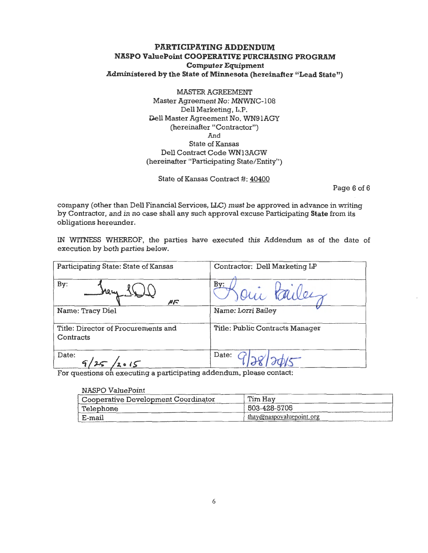**MASTER AGREEMENT** Master Agreement No: MNWNC-108 Dell Marketing, L.P. Dell Master Agreement No. WN91AGY (hereinafter "Contractor") And State of Kansas Dell Contract Code WN13AGW (hereinafter "Participating State/Entity")

State of Kansas Contract #: 40400

Page 6 of 6

company (other than Dell Financial Services, LLC) must be approved in advance in writing by Contractor, and in no case shall any such approval excuse Participating State from its obligations hereunder.

IN WITNESS WHEREOF, the parties have executed this Addendum as of the date of execution by both parties below.

| Participating State: State of Kansas             | Contractor: Dell Marketing LP   |
|--------------------------------------------------|---------------------------------|
| By:<br>ساھا<br>ルド                                |                                 |
| Name: Tracy Diel                                 | Name: Lorri Bailey              |
| Title: Director of Procurements and<br>Contracts | Title: Public Contracts Manager |
| Date:<br>9/25/2015                               | Date:                           |

For questions on executing a participating addendum, please contact:

| NASPO ValuePoint                    |                          |  |  |  |
|-------------------------------------|--------------------------|--|--|--|
| Cooperative Development Coordinator | Tim Hav                  |  |  |  |
| Telephone                           | 503-428-5705             |  |  |  |
| E-mail                              | thay@naspovaluepoint.org |  |  |  |